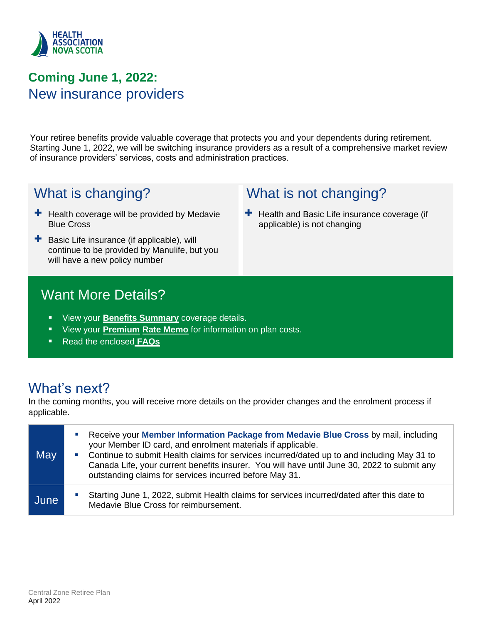

## **Coming June 1, 2022:** New insurance providers

Your retiree benefits provide valuable coverage that protects you and your dependents during retirement. Starting June 1, 2022, we will be switching insurance providers as a result of a comprehensive market review of insurance providers' services, costs and administration practices.

What is not changing?

applicable) is not changing

 $\pm$  Health and Basic Life insurance coverage (if

## What is changing?

- $\pm$  Health coverage will be provided by Medavie Blue Cross
- + Basic Life insurance (if applicable), will continue to be provided by Manulife, but you will have a new policy number

## Want More Details?

- **E** View your **Benefits Summary** coverage details.
- View your **Premium Rate Memo** for information on plan costs.
- Read the enclosed **FAQs**

## What's next?

In the coming months, you will receive more details on the provider changes and the enrolment process if applicable.

| May  | Receive your Member Information Package from Medavie Blue Cross by mail, including<br><b>C</b><br>your Member ID card, and enrolment materials if applicable.<br>Continue to submit Health claims for services incurred/dated up to and including May 31 to<br>$\mathcal{C}^{\mathcal{A}}$<br>Canada Life, your current benefits insurer. You will have until June 30, 2022 to submit any<br>outstanding claims for services incurred before May 31. |  |
|------|------------------------------------------------------------------------------------------------------------------------------------------------------------------------------------------------------------------------------------------------------------------------------------------------------------------------------------------------------------------------------------------------------------------------------------------------------|--|
| June | Starting June 1, 2022, submit Health claims for services incurred/dated after this date to<br>Medavie Blue Cross for reimbursement.                                                                                                                                                                                                                                                                                                                  |  |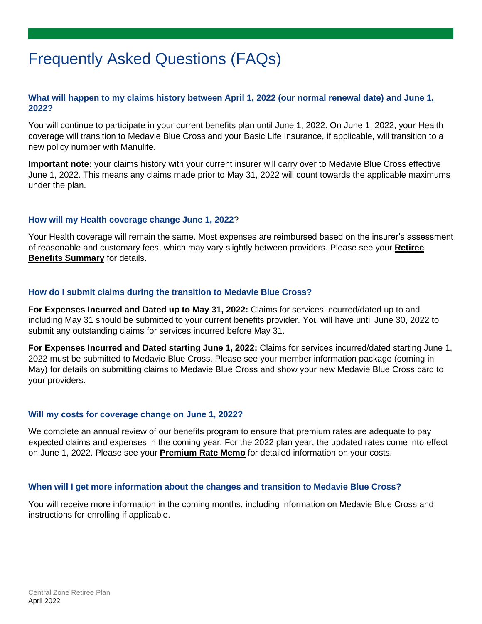## Frequently Asked Questions (FAQs)

#### **What will happen to my claims history between April 1, 2022 (our normal renewal date) and June 1, 2022?**

You will continue to participate in your current benefits plan until June 1, 2022. On June 1, 2022, your Health coverage will transition to Medavie Blue Cross and your Basic Life Insurance, if applicable, will transition to a new policy number with Manulife.

**Important note:** your claims history with your current insurer will carry over to Medavie Blue Cross effective June 1, 2022. This means any claims made prior to May 31, 2022 will count towards the applicable maximums under the plan.

#### **How will my Health coverage change June 1, 2022**?

Your Health coverage will remain the same. Most expenses are reimbursed based on the insurer's assessment of reasonable and customary fees, which may vary slightly between providers. Please see your **Retiree Benefits Summary** for details.

#### **How do I submit claims during the transition to Medavie Blue Cross?**

**For Expenses Incurred and Dated up to May 31, 2022:** Claims for services incurred/dated up to and including May 31 should be submitted to your current benefits provider. You will have until June 30, 2022 to submit any outstanding claims for services incurred before May 31.

**For Expenses Incurred and Dated starting June 1, 2022:** Claims for services incurred/dated starting June 1, 2022 must be submitted to Medavie Blue Cross. Please see your member information package (coming in May) for details on submitting claims to Medavie Blue Cross and show your new Medavie Blue Cross card to your providers.

#### **Will my costs for coverage change on June 1, 2022?**

We complete an annual review of our benefits program to ensure that premium rates are adequate to pay expected claims and expenses in the coming year. For the 2022 plan year, the updated rates come into effect on June 1, 2022. Please see your **Premium Rate Memo** for detailed information on your costs.

#### **When will I get more information about the changes and transition to Medavie Blue Cross?**

You will receive more information in the coming months, including information on Medavie Blue Cross and instructions for enrolling if applicable.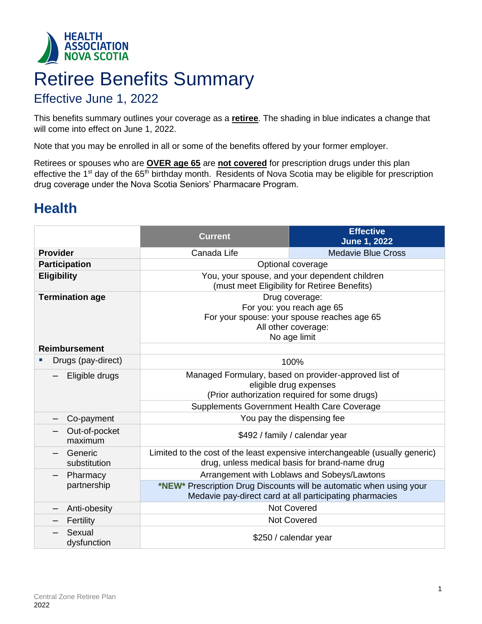

# Retiree Benefits Summary

### Effective June 1, 2022

This benefits summary outlines your coverage as a **retiree**. The shading in blue indicates a change that will come into effect on June 1, 2022.

Note that you may be enrolled in all or some of the benefits offered by your former employer.

Retirees or spouses who are **OVER age 65** are **not covered** for prescription drugs under this plan effective the 1<sup>st</sup> day of the 65<sup>th</sup> birthday month. Residents of Nova Scotia may be eligible for prescription drug coverage under the Nova Scotia Seniors' Pharmacare Program.

## **Health**

|                          | <b>Current</b>                                                                                                                                                                  | <b>Effective</b><br><b>June 1, 2022</b>                                                                                        |  |
|--------------------------|---------------------------------------------------------------------------------------------------------------------------------------------------------------------------------|--------------------------------------------------------------------------------------------------------------------------------|--|
| <b>Provider</b>          | Canada Life                                                                                                                                                                     | <b>Medavie Blue Cross</b>                                                                                                      |  |
| <b>Participation</b>     | Optional coverage                                                                                                                                                               |                                                                                                                                |  |
| <b>Eligibility</b>       | You, your spouse, and your dependent children<br>(must meet Eligibility for Retiree Benefits)                                                                                   |                                                                                                                                |  |
| <b>Termination age</b>   | Drug coverage:<br>For you: you reach age 65<br>For your spouse: your spouse reaches age 65<br>All other coverage:<br>No age limit                                               |                                                                                                                                |  |
| <b>Reimbursement</b>     |                                                                                                                                                                                 |                                                                                                                                |  |
| Drugs (pay-direct)       | 100%                                                                                                                                                                            |                                                                                                                                |  |
| Eligible drugs           | Managed Formulary, based on provider-approved list of<br>eligible drug expenses<br>(Prior authorization required for some drugs)<br>Supplements Government Health Care Coverage |                                                                                                                                |  |
| Co-payment               | You pay the dispensing fee                                                                                                                                                      |                                                                                                                                |  |
| Out-of-pocket<br>maximum | \$492 / family / calendar year                                                                                                                                                  |                                                                                                                                |  |
| Generic<br>substitution  |                                                                                                                                                                                 | Limited to the cost of the least expensive interchangeable (usually generic)<br>drug, unless medical basis for brand-name drug |  |
| Pharmacy                 |                                                                                                                                                                                 | Arrangement with Loblaws and Sobeys/Lawtons                                                                                    |  |
| partnership              | *NEW* Prescription Drug Discounts will be automatic when using your<br>Medavie pay-direct card at all participating pharmacies                                                  |                                                                                                                                |  |
| Anti-obesity             |                                                                                                                                                                                 | <b>Not Covered</b>                                                                                                             |  |
| Fertility                |                                                                                                                                                                                 | <b>Not Covered</b>                                                                                                             |  |
| Sexual<br>dysfunction    |                                                                                                                                                                                 | \$250 / calendar year                                                                                                          |  |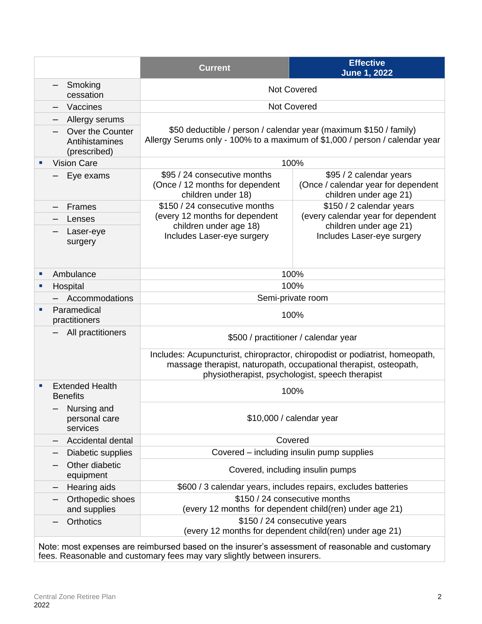|                                                |                                                                                                                                                                             | <b>Current</b>                                                                                                                                   | <b>Effective</b><br><b>June 1, 2022</b>                                                                                         |  |  |  |
|------------------------------------------------|-----------------------------------------------------------------------------------------------------------------------------------------------------------------------------|--------------------------------------------------------------------------------------------------------------------------------------------------|---------------------------------------------------------------------------------------------------------------------------------|--|--|--|
|                                                | Smoking<br>cessation                                                                                                                                                        | <b>Not Covered</b>                                                                                                                               |                                                                                                                                 |  |  |  |
|                                                | Vaccines                                                                                                                                                                    | <b>Not Covered</b>                                                                                                                               |                                                                                                                                 |  |  |  |
|                                                | Allergy serums                                                                                                                                                              |                                                                                                                                                  |                                                                                                                                 |  |  |  |
|                                                | Over the Counter<br>Antihistamines<br>(prescribed)                                                                                                                          | \$50 deductible / person / calendar year (maximum \$150 / family)<br>Allergy Serums only - 100% to a maximum of \$1,000 / person / calendar year |                                                                                                                                 |  |  |  |
|                                                | <b>Vision Care</b>                                                                                                                                                          |                                                                                                                                                  | 100%                                                                                                                            |  |  |  |
|                                                | Eye exams                                                                                                                                                                   | \$95 / 24 consecutive months<br>(Once / 12 months for dependent<br>children under 18)                                                            | \$95 / 2 calendar years<br>(Once / calendar year for dependent<br>children under age 21)                                        |  |  |  |
|                                                | Frames                                                                                                                                                                      | \$150 / 24 consecutive months                                                                                                                    | \$150 / 2 calendar years                                                                                                        |  |  |  |
|                                                | Lenses                                                                                                                                                                      | (every 12 months for dependent                                                                                                                   | (every calendar year for dependent                                                                                              |  |  |  |
|                                                | Laser-eye<br>surgery                                                                                                                                                        | children under age 18)<br>Includes Laser-eye surgery                                                                                             | children under age 21)<br>Includes Laser-eye surgery                                                                            |  |  |  |
| Ambulance<br>п                                 |                                                                                                                                                                             | 100%                                                                                                                                             |                                                                                                                                 |  |  |  |
| Hospital<br>٠                                  |                                                                                                                                                                             |                                                                                                                                                  | 100%                                                                                                                            |  |  |  |
|                                                | Accommodations                                                                                                                                                              | Semi-private room                                                                                                                                |                                                                                                                                 |  |  |  |
| п                                              | Paramedical<br>practitioners                                                                                                                                                | 100%                                                                                                                                             |                                                                                                                                 |  |  |  |
|                                                | All practitioners                                                                                                                                                           | \$500 / practitioner / calendar year                                                                                                             |                                                                                                                                 |  |  |  |
|                                                |                                                                                                                                                                             | massage therapist, naturopath, occupational therapist, osteopath,                                                                                | Includes: Acupuncturist, chiropractor, chiropodist or podiatrist, homeopath,<br>physiotherapist, psychologist, speech therapist |  |  |  |
| <b>Extended Health</b><br>п<br><b>Benefits</b> |                                                                                                                                                                             |                                                                                                                                                  | 100%                                                                                                                            |  |  |  |
|                                                | Nursing and<br>personal care<br>services                                                                                                                                    | \$10,000 / calendar year                                                                                                                         |                                                                                                                                 |  |  |  |
|                                                | Accidental dental                                                                                                                                                           | Covered                                                                                                                                          |                                                                                                                                 |  |  |  |
|                                                | Diabetic supplies                                                                                                                                                           | Covered – including insulin pump supplies                                                                                                        |                                                                                                                                 |  |  |  |
|                                                | Other diabetic<br>equipment                                                                                                                                                 | Covered, including insulin pumps                                                                                                                 |                                                                                                                                 |  |  |  |
| Hearing aids                                   |                                                                                                                                                                             |                                                                                                                                                  | \$600 / 3 calendar years, includes repairs, excludes batteries                                                                  |  |  |  |
|                                                | Orthopedic shoes<br>and supplies                                                                                                                                            | \$150 / 24 consecutive months<br>(every 12 months for dependent child(ren) under age 21)                                                         |                                                                                                                                 |  |  |  |
|                                                | <b>Orthotics</b>                                                                                                                                                            | \$150 / 24 consecutive years                                                                                                                     | (every 12 months for dependent child(ren) under age 21)                                                                         |  |  |  |
|                                                | Note: most expenses are reimbursed based on the insurer's assessment of reasonable and customary<br>fees. Reasonable and customary fees may vary slightly between insurers. |                                                                                                                                                  |                                                                                                                                 |  |  |  |